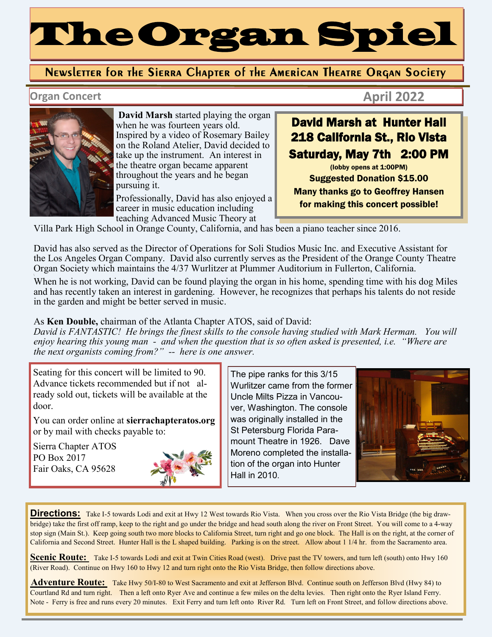# The Organ Spiel

#### Newsletter for the Sierra Chapter of the American Theatre Organ Society

#### **Organ Concert April 2022**



**David Marsh** started playing the organ when he was fourteen years old. Inspired by a video of Rosemary Bailey on the Roland Atelier, David decided to take up the instrument. An interest in the theatre organ became apparent throughout the years and he began pursuing it.

Professionally, David has also enjoyed a career in music education including teaching Advanced Music Theory at

## David Marsh at Hunter Hall 218 California St., Rio Vista Saturday, May 7th 2:00 PM

(lobby opens at 1:00PM) Suggested Donation \$15.00 Many thanks go to Geoffrey Hansen for making this concert possible!

Villa Park High School in Orange County, California, and has been a piano teacher since 2016.

David has also served as the Director of Operations for Soli Studios Music Inc. and Executive Assistant for the Los Angeles Organ Company. David also currently serves as the President of the Orange County Theatre Organ Society which maintains the 4/37 Wurlitzer at Plummer Auditorium in Fullerton, California.

\ When he is not working, David can be found playing the organ in his home, spending time with his dog Miles and has recently taken an interest in gardening. However, he recognizes that perhaps his talents do not reside in the garden and might be better served in music.

#### As **Ken Double,** chairman of the Atlanta Chapter ATOS, said of David:

*David is FANTASTIC! He brings the finest skills to the console having studied with Mark Herman. You will enjoy hearing this young man - and when the question that is so often asked is presented, i.e. "Where are the next organists coming from?" - here is one answer.*

Seating for this concert will be limited to 90. Advance tickets recommended but if not already sold out, tickets will be available at the door.

You can order online at **sierrachapteratos.org**  or by mail with checks payable to:

Sierra Chapter ATOS PO Box 2017 Fair Oaks, CA 95628



The pipe ranks for this 3/15 Wurlitzer came from the former Uncle Milts Pizza in Vancouver, Washington. The console was originally installed in the St Petersburg Florida Paramount Theatre in 1926. Dave Moreno completed the installation of the organ into Hunter Hall in 2010.



**Directions:** Take I-5 towards Lodi and exit at Hwy 12 West towards Rio Vista. When you cross over the Rio Vista Bridge (the big drawbridge) take the first off ramp, keep to the right and go under the bridge and head south along the river on Front Street. You will come to a 4-way stop sign (Main St.). Keep going south two more blocks to California Street, turn right and go one block. The Hall is on the right, at the corner of California and Second Street. Hunter Hall is the L shaped building. Parking is on the street. Allow about 1 1/4 hr. from the Sacramento area.

**Scenic Route:** Take I-5 towards Lodi and exit at Twin Cities Road (west). Drive past the TV towers, and turn left (south) onto Hwy 160 (River Road). Continue on Hwy 160 to Hwy 12 and turn right onto the Rio Vista Bridge, then follow directions above.

**Adventure Route:** Take Hwy 50/I-80 to West Sacramento and exit at Jefferson Blvd. Continue south on Jefferson Blvd (Hwy 84) to Courtland Rd and turn right. Then a left onto Ryer Ave and continue a few miles on the delta levies. Then right onto the Ryer Island Ferry. Note - Ferry is free and runs every 20 minutes. Exit Ferry and turn left onto River Rd. Turn left on Front Street, and follow directions above.